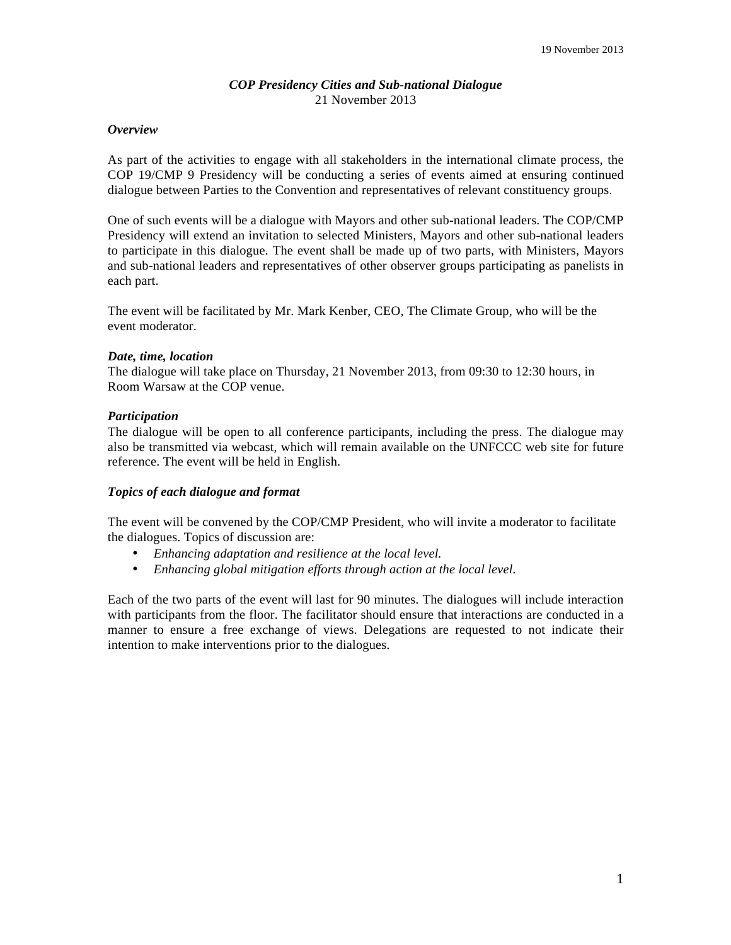# *COP Presidency Cities and Sub-national Dialogue*  21 November 2013

# *Overview*

As part of the activities to engage with all stakeholders in the international climate process, the COP 19/CMP 9 Presidency will be conducting a series of events aimed at ensuring continued dialogue between Parties to the Convention and representatives of relevant constituency groups.

One of such events will be a dialogue with Mayors and other sub-national leaders. The COP/CMP Presidency will extend an invitation to selected Ministers, Mayors and other sub-national leaders to participate in this dialogue. The event shall be made up of two parts, with Ministers, Mayors and sub-national leaders and representatives of other observer groups participating as panelists in each part.

The event will be facilitated by Mr. Mark Kenber, CEO, The Climate Group, who will be the event moderator.

# *Date, time, location*

The dialogue will take place on Thursday, 21 November 2013, from 09:30 to 12:30 hours, in Room Warsaw at the COP venue.

# *Participation*

The dialogue will be open to all conference participants, including the press. The dialogue may also be transmitted via webcast, which will remain available on the UNFCCC web site for future reference. The event will be held in English.

# *Topics of each dialogue and format*

The event will be convened by the COP/CMP President, who will invite a moderator to facilitate the dialogues. Topics of discussion are:

- *Enhancing adaptation and resilience at the local level.*
- *Enhancing global mitigation efforts through action at the local level.*

Each of the two parts of the event will last for 90 minutes. The dialogues will include interaction with participants from the floor. The facilitator should ensure that interactions are conducted in a manner to ensure a free exchange of views. Delegations are requested to not indicate their intention to make interventions prior to the dialogues.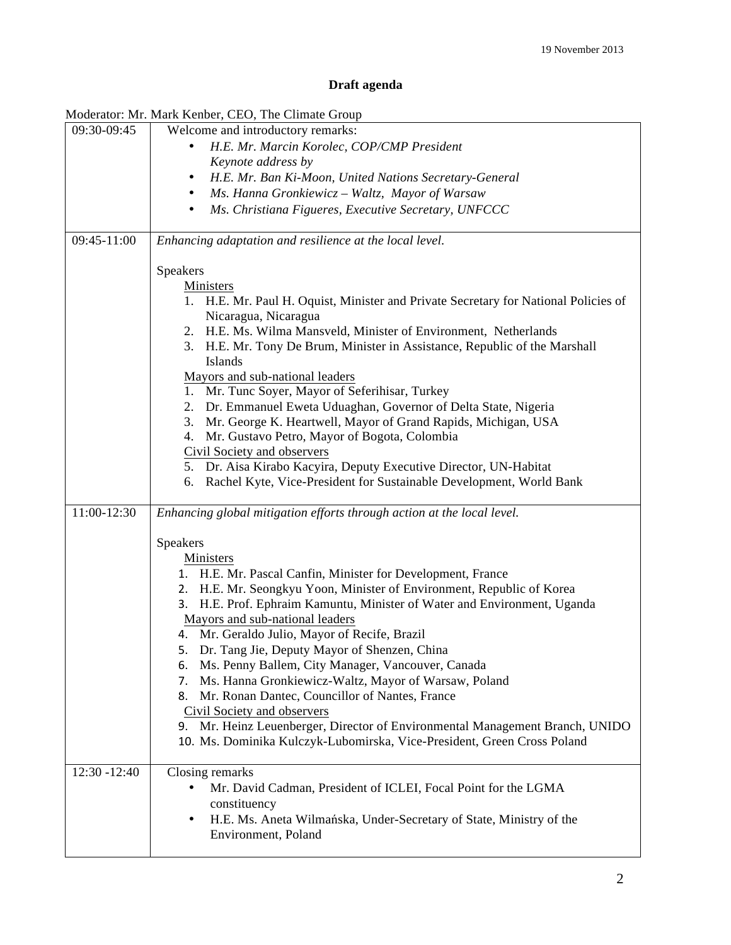# **Draft agenda**

| Moderator: Mr. Mark Kenber, CEO, The Climate Group |                                                                                                                                                                                                                                                                                                                                                                                                                                                                                                                                                                                                                                                                                                                                                                              |
|----------------------------------------------------|------------------------------------------------------------------------------------------------------------------------------------------------------------------------------------------------------------------------------------------------------------------------------------------------------------------------------------------------------------------------------------------------------------------------------------------------------------------------------------------------------------------------------------------------------------------------------------------------------------------------------------------------------------------------------------------------------------------------------------------------------------------------------|
| 09:30-09:45                                        | Welcome and introductory remarks:                                                                                                                                                                                                                                                                                                                                                                                                                                                                                                                                                                                                                                                                                                                                            |
|                                                    | H.E. Mr. Marcin Korolec, COP/CMP President                                                                                                                                                                                                                                                                                                                                                                                                                                                                                                                                                                                                                                                                                                                                   |
|                                                    | Keynote address by                                                                                                                                                                                                                                                                                                                                                                                                                                                                                                                                                                                                                                                                                                                                                           |
|                                                    | H.E. Mr. Ban Ki-Moon, United Nations Secretary-General<br>٠                                                                                                                                                                                                                                                                                                                                                                                                                                                                                                                                                                                                                                                                                                                  |
|                                                    | Ms. Hanna Gronkiewicz - Waltz, Mayor of Warsaw<br>٠                                                                                                                                                                                                                                                                                                                                                                                                                                                                                                                                                                                                                                                                                                                          |
|                                                    | Ms. Christiana Figueres, Executive Secretary, UNFCCC<br>٠                                                                                                                                                                                                                                                                                                                                                                                                                                                                                                                                                                                                                                                                                                                    |
|                                                    |                                                                                                                                                                                                                                                                                                                                                                                                                                                                                                                                                                                                                                                                                                                                                                              |
| 09:45-11:00                                        | Enhancing adaptation and resilience at the local level.                                                                                                                                                                                                                                                                                                                                                                                                                                                                                                                                                                                                                                                                                                                      |
|                                                    | Speakers<br>Ministers<br>1. H.E. Mr. Paul H. Oquist, Minister and Private Secretary for National Policies of<br>Nicaragua, Nicaragua<br>2. H.E. Ms. Wilma Mansveld, Minister of Environment, Netherlands<br>3. H.E. Mr. Tony De Brum, Minister in Assistance, Republic of the Marshall<br>Islands<br>Mayors and sub-national leaders<br>1. Mr. Tunc Soyer, Mayor of Seferihisar, Turkey<br>Dr. Emmanuel Eweta Uduaghan, Governor of Delta State, Nigeria<br>2.<br>Mr. George K. Heartwell, Mayor of Grand Rapids, Michigan, USA<br>3.<br>Mr. Gustavo Petro, Mayor of Bogota, Colombia<br>4.<br>Civil Society and observers<br>5. Dr. Aisa Kirabo Kacyira, Deputy Executive Director, UN-Habitat<br>Rachel Kyte, Vice-President for Sustainable Development, World Bank<br>6. |
|                                                    |                                                                                                                                                                                                                                                                                                                                                                                                                                                                                                                                                                                                                                                                                                                                                                              |
| 11:00-12:30                                        | Enhancing global mitigation efforts through action at the local level.                                                                                                                                                                                                                                                                                                                                                                                                                                                                                                                                                                                                                                                                                                       |
|                                                    | Speakers<br>Ministers<br>1. H.E. Mr. Pascal Canfin, Minister for Development, France                                                                                                                                                                                                                                                                                                                                                                                                                                                                                                                                                                                                                                                                                         |
|                                                    | 2. H.E. Mr. Seongkyu Yoon, Minister of Environment, Republic of Korea<br>3. H.E. Prof. Ephraim Kamuntu, Minister of Water and Environment, Uganda<br>Mayors and sub-national leaders<br>4. Mr. Geraldo Julio, Mayor of Recife, Brazil<br>5. Dr. Tang Jie, Deputy Mayor of Shenzen, China<br>Ms. Penny Ballem, City Manager, Vancouver, Canada<br>6.<br>Ms. Hanna Gronkiewicz-Waltz, Mayor of Warsaw, Poland<br>7.<br>8. Mr. Ronan Dantec, Councillor of Nantes, France<br>Civil Society and observers<br>9. Mr. Heinz Leuenberger, Director of Environmental Management Branch, UNIDO<br>10. Ms. Dominika Kulczyk-Lubomirska, Vice-President, Green Cross Poland                                                                                                             |
| 12:30 -12:40                                       | Closing remarks<br>Mr. David Cadman, President of ICLEI, Focal Point for the LGMA<br>$\bullet$<br>constituency<br>H.E. Ms. Aneta Wilmańska, Under-Secretary of State, Ministry of the<br>٠<br>Environment, Poland                                                                                                                                                                                                                                                                                                                                                                                                                                                                                                                                                            |